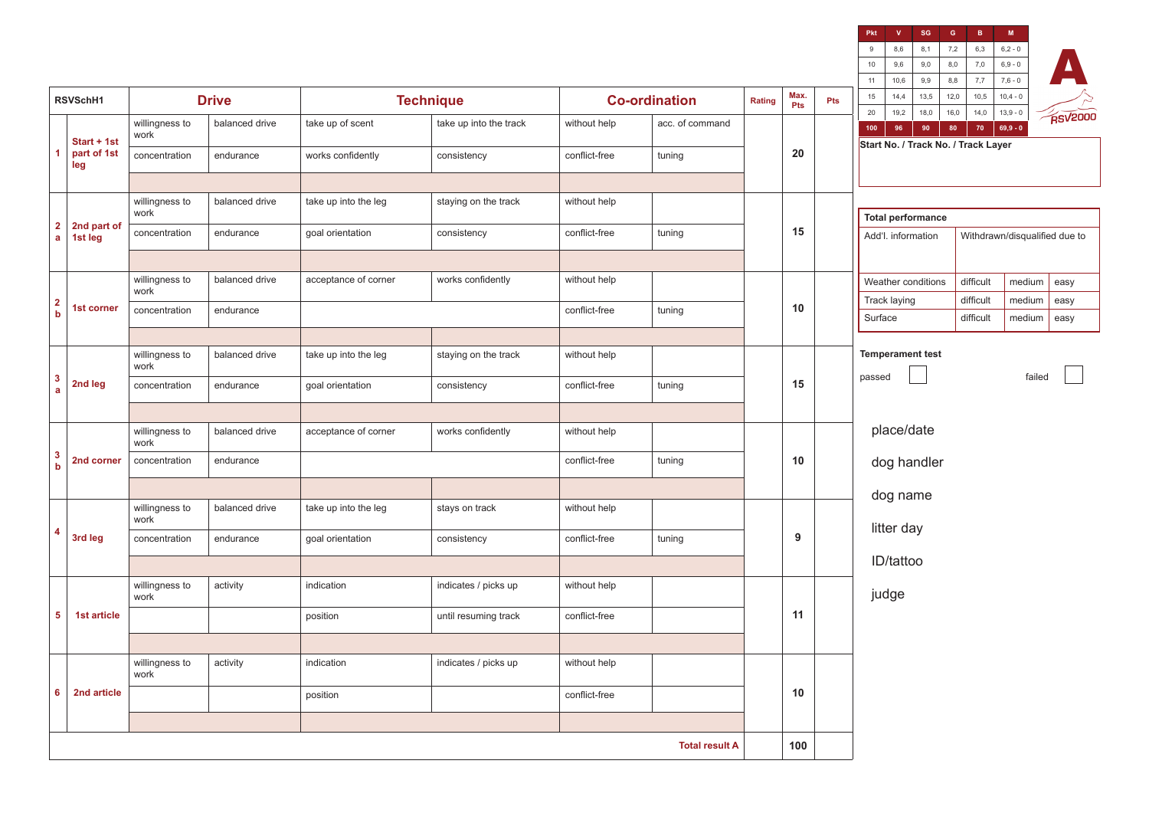| 9,0<br>7,0<br>$10\,$<br>9,6<br>8,0<br>$6,9 - 0$<br>9,9<br>8,8<br>7,7<br>$7,6 - 0$<br>10,6<br>11<br>Max.<br>13,5<br>12,0<br>10,5<br>$15\,$<br>14,4<br>$10,4 - 0$<br><b>Drive</b><br><b>Technique</b><br><b>Co-ordination</b><br>RSVSchH1<br>Rating<br>Pts<br>Pts<br>20<br>19,2<br>18,0<br>16,0<br>14,0<br>$13,9 - 0$<br>balanced drive<br>willingness to<br>take up of scent<br>take up into the track<br>without help<br>acc. of command<br>80<br>$69,9 - 0$<br>96<br>90<br>70<br>100<br>work<br>Start + 1st<br>Start No. / Track No. / Track Layer<br>20<br>part of 1st<br>1<br>concentration<br>endurance<br>works confidently<br>conflict-free<br>consistency<br>tuning<br>leg<br>willingness to<br>balanced drive<br>take up into the leg<br>staying on the track<br>without help<br>work<br><b>Total performance</b><br>$\mathbf{2}$<br>2nd part of<br>15<br>conflict-free<br>concentration<br>endurance<br>goal orientation<br>consistency<br>tuning<br>Withdrawn/disqualified due to<br>Add'l. information<br>$\mathbf{a}$<br>1st leg<br>balanced drive<br>willingness to<br>acceptance of corner<br>works confidently<br>without help<br>Weather conditions<br>difficult<br>medium<br>work<br>Track laying<br>difficult<br>medium<br>$\overline{\mathbf{2}}$<br>10<br>1st corner<br>conflict-free<br>concentration<br>endurance<br>tuning<br>b<br>Surface<br>difficult<br>medium<br><b>Temperament test</b><br>willingness to<br>balanced drive<br>take up into the leg<br>staying on the track<br>without help<br>work<br>passed<br>-3<br>15<br>2nd leg<br>conflict-free<br>concentration<br>endurance<br>goal orientation<br>tuning<br>consistency<br>a<br>place/date<br>willingness to<br>balanced drive<br>works confidently<br>acceptance of corner<br>without help | $\sqrt{\frac{1}{180000}}$ |
|----------------------------------------------------------------------------------------------------------------------------------------------------------------------------------------------------------------------------------------------------------------------------------------------------------------------------------------------------------------------------------------------------------------------------------------------------------------------------------------------------------------------------------------------------------------------------------------------------------------------------------------------------------------------------------------------------------------------------------------------------------------------------------------------------------------------------------------------------------------------------------------------------------------------------------------------------------------------------------------------------------------------------------------------------------------------------------------------------------------------------------------------------------------------------------------------------------------------------------------------------------------------------------------------------------------------------------------------------------------------------------------------------------------------------------------------------------------------------------------------------------------------------------------------------------------------------------------------------------------------------------------------------------------------------------------------------------------------------------------------------------------------------------|---------------------------|
|                                                                                                                                                                                                                                                                                                                                                                                                                                                                                                                                                                                                                                                                                                                                                                                                                                                                                                                                                                                                                                                                                                                                                                                                                                                                                                                                                                                                                                                                                                                                                                                                                                                                                                                                                                                  |                           |
|                                                                                                                                                                                                                                                                                                                                                                                                                                                                                                                                                                                                                                                                                                                                                                                                                                                                                                                                                                                                                                                                                                                                                                                                                                                                                                                                                                                                                                                                                                                                                                                                                                                                                                                                                                                  |                           |
|                                                                                                                                                                                                                                                                                                                                                                                                                                                                                                                                                                                                                                                                                                                                                                                                                                                                                                                                                                                                                                                                                                                                                                                                                                                                                                                                                                                                                                                                                                                                                                                                                                                                                                                                                                                  |                           |
|                                                                                                                                                                                                                                                                                                                                                                                                                                                                                                                                                                                                                                                                                                                                                                                                                                                                                                                                                                                                                                                                                                                                                                                                                                                                                                                                                                                                                                                                                                                                                                                                                                                                                                                                                                                  |                           |
|                                                                                                                                                                                                                                                                                                                                                                                                                                                                                                                                                                                                                                                                                                                                                                                                                                                                                                                                                                                                                                                                                                                                                                                                                                                                                                                                                                                                                                                                                                                                                                                                                                                                                                                                                                                  |                           |
|                                                                                                                                                                                                                                                                                                                                                                                                                                                                                                                                                                                                                                                                                                                                                                                                                                                                                                                                                                                                                                                                                                                                                                                                                                                                                                                                                                                                                                                                                                                                                                                                                                                                                                                                                                                  |                           |
|                                                                                                                                                                                                                                                                                                                                                                                                                                                                                                                                                                                                                                                                                                                                                                                                                                                                                                                                                                                                                                                                                                                                                                                                                                                                                                                                                                                                                                                                                                                                                                                                                                                                                                                                                                                  |                           |
|                                                                                                                                                                                                                                                                                                                                                                                                                                                                                                                                                                                                                                                                                                                                                                                                                                                                                                                                                                                                                                                                                                                                                                                                                                                                                                                                                                                                                                                                                                                                                                                                                                                                                                                                                                                  |                           |
|                                                                                                                                                                                                                                                                                                                                                                                                                                                                                                                                                                                                                                                                                                                                                                                                                                                                                                                                                                                                                                                                                                                                                                                                                                                                                                                                                                                                                                                                                                                                                                                                                                                                                                                                                                                  |                           |
|                                                                                                                                                                                                                                                                                                                                                                                                                                                                                                                                                                                                                                                                                                                                                                                                                                                                                                                                                                                                                                                                                                                                                                                                                                                                                                                                                                                                                                                                                                                                                                                                                                                                                                                                                                                  | easy                      |
|                                                                                                                                                                                                                                                                                                                                                                                                                                                                                                                                                                                                                                                                                                                                                                                                                                                                                                                                                                                                                                                                                                                                                                                                                                                                                                                                                                                                                                                                                                                                                                                                                                                                                                                                                                                  | easy<br>easy              |
|                                                                                                                                                                                                                                                                                                                                                                                                                                                                                                                                                                                                                                                                                                                                                                                                                                                                                                                                                                                                                                                                                                                                                                                                                                                                                                                                                                                                                                                                                                                                                                                                                                                                                                                                                                                  |                           |
|                                                                                                                                                                                                                                                                                                                                                                                                                                                                                                                                                                                                                                                                                                                                                                                                                                                                                                                                                                                                                                                                                                                                                                                                                                                                                                                                                                                                                                                                                                                                                                                                                                                                                                                                                                                  |                           |
|                                                                                                                                                                                                                                                                                                                                                                                                                                                                                                                                                                                                                                                                                                                                                                                                                                                                                                                                                                                                                                                                                                                                                                                                                                                                                                                                                                                                                                                                                                                                                                                                                                                                                                                                                                                  | failed                    |
|                                                                                                                                                                                                                                                                                                                                                                                                                                                                                                                                                                                                                                                                                                                                                                                                                                                                                                                                                                                                                                                                                                                                                                                                                                                                                                                                                                                                                                                                                                                                                                                                                                                                                                                                                                                  |                           |
| work                                                                                                                                                                                                                                                                                                                                                                                                                                                                                                                                                                                                                                                                                                                                                                                                                                                                                                                                                                                                                                                                                                                                                                                                                                                                                                                                                                                                                                                                                                                                                                                                                                                                                                                                                                             |                           |
| 3<br>conflict-free<br>10<br>2nd corner<br>concentration<br>endurance<br>tuning<br>dog handler<br>b                                                                                                                                                                                                                                                                                                                                                                                                                                                                                                                                                                                                                                                                                                                                                                                                                                                                                                                                                                                                                                                                                                                                                                                                                                                                                                                                                                                                                                                                                                                                                                                                                                                                               |                           |
| dog name                                                                                                                                                                                                                                                                                                                                                                                                                                                                                                                                                                                                                                                                                                                                                                                                                                                                                                                                                                                                                                                                                                                                                                                                                                                                                                                                                                                                                                                                                                                                                                                                                                                                                                                                                                         |                           |
| willingness to<br>balanced drive<br>take up into the leg<br>without help<br>stays on track<br>work<br>litter day                                                                                                                                                                                                                                                                                                                                                                                                                                                                                                                                                                                                                                                                                                                                                                                                                                                                                                                                                                                                                                                                                                                                                                                                                                                                                                                                                                                                                                                                                                                                                                                                                                                                 |                           |
| 4<br>9<br>3rd leg<br>conflict-free<br>concentration<br>endurance<br>tuning<br>goal orientation<br>consistency                                                                                                                                                                                                                                                                                                                                                                                                                                                                                                                                                                                                                                                                                                                                                                                                                                                                                                                                                                                                                                                                                                                                                                                                                                                                                                                                                                                                                                                                                                                                                                                                                                                                    |                           |
| ID/tattoo                                                                                                                                                                                                                                                                                                                                                                                                                                                                                                                                                                                                                                                                                                                                                                                                                                                                                                                                                                                                                                                                                                                                                                                                                                                                                                                                                                                                                                                                                                                                                                                                                                                                                                                                                                        |                           |
| willingness to<br>indicates / picks up<br>activity<br>indication<br>without help<br>judge<br>work                                                                                                                                                                                                                                                                                                                                                                                                                                                                                                                                                                                                                                                                                                                                                                                                                                                                                                                                                                                                                                                                                                                                                                                                                                                                                                                                                                                                                                                                                                                                                                                                                                                                                |                           |
| 11<br>5<br>1st article<br>conflict-free<br>position<br>until resuming track                                                                                                                                                                                                                                                                                                                                                                                                                                                                                                                                                                                                                                                                                                                                                                                                                                                                                                                                                                                                                                                                                                                                                                                                                                                                                                                                                                                                                                                                                                                                                                                                                                                                                                      |                           |
|                                                                                                                                                                                                                                                                                                                                                                                                                                                                                                                                                                                                                                                                                                                                                                                                                                                                                                                                                                                                                                                                                                                                                                                                                                                                                                                                                                                                                                                                                                                                                                                                                                                                                                                                                                                  |                           |
| willingness to<br>activity<br>indication<br>indicates / picks up<br>without help<br>work                                                                                                                                                                                                                                                                                                                                                                                                                                                                                                                                                                                                                                                                                                                                                                                                                                                                                                                                                                                                                                                                                                                                                                                                                                                                                                                                                                                                                                                                                                                                                                                                                                                                                         |                           |
| 2nd article<br>10<br>6<br>conflict-free<br>position                                                                                                                                                                                                                                                                                                                                                                                                                                                                                                                                                                                                                                                                                                                                                                                                                                                                                                                                                                                                                                                                                                                                                                                                                                                                                                                                                                                                                                                                                                                                                                                                                                                                                                                              |                           |
|                                                                                                                                                                                                                                                                                                                                                                                                                                                                                                                                                                                                                                                                                                                                                                                                                                                                                                                                                                                                                                                                                                                                                                                                                                                                                                                                                                                                                                                                                                                                                                                                                                                                                                                                                                                  |                           |
| <b>Total result A</b><br>100                                                                                                                                                                                                                                                                                                                                                                                                                                                                                                                                                                                                                                                                                                                                                                                                                                                                                                                                                                                                                                                                                                                                                                                                                                                                                                                                                                                                                                                                                                                                                                                                                                                                                                                                                     |                           |

**Pkt V SG G B M**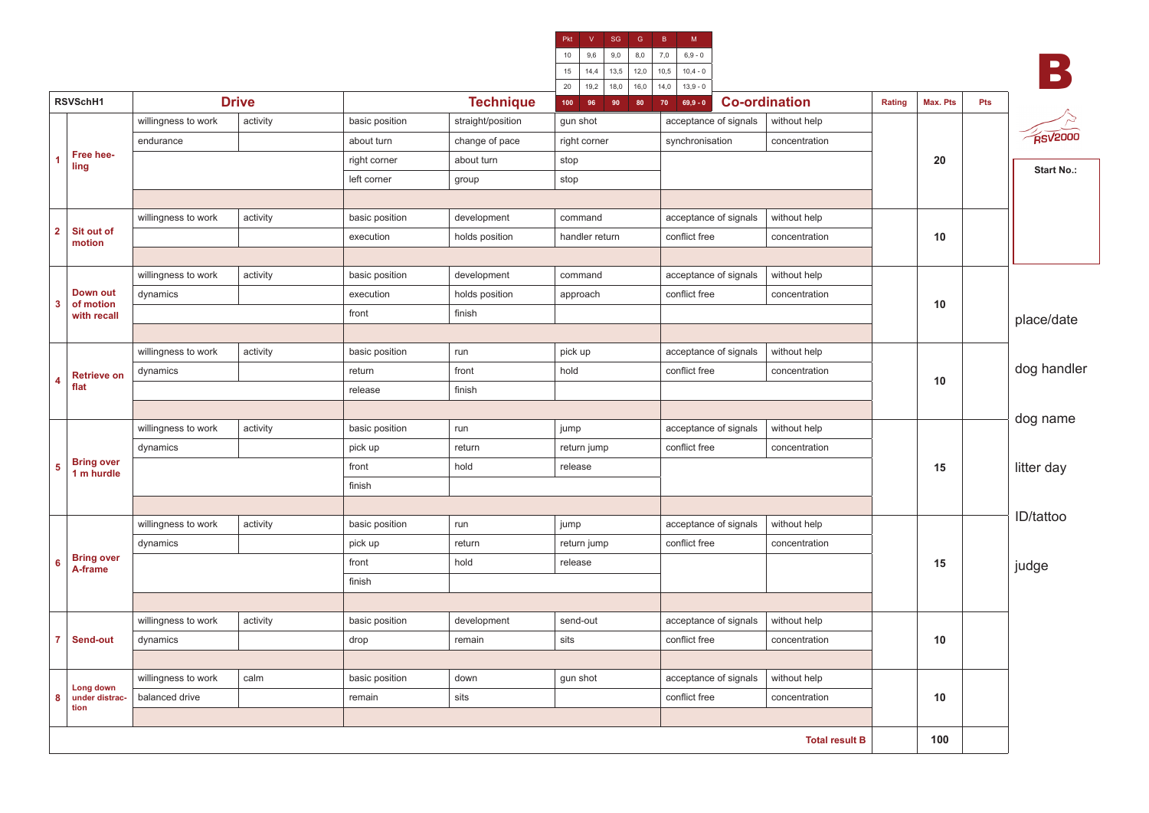| Pkt<br>v |      | SG   | G    | B    | M          |  |  |  |
|----------|------|------|------|------|------------|--|--|--|
| 10       | 9,6  | 9,0  | 8,0  | 7,0  | $6,9 - 0$  |  |  |  |
| 15       | 14,4 | 13,5 | 12,0 | 10,5 | $10,4 - 0$ |  |  |  |
| 20       | 19,2 | 18,0 | 16,0 | 14,0 | $13,9 - 0$ |  |  |  |

B

|                |                              |                     |              |                |                   | 20   19,2   18,0   16,0   14,0   13,9 - 0 |                       |                       |        |          |     |                   |
|----------------|------------------------------|---------------------|--------------|----------------|-------------------|-------------------------------------------|-----------------------|-----------------------|--------|----------|-----|-------------------|
|                | RSVSchH1                     |                     | <b>Drive</b> |                | <b>Technique</b>  | 96<br>$90$ 80<br>100                      | $70 \t 69,9 - 0$      | <b>Co-ordination</b>  | Rating | Max. Pts | Pts |                   |
|                |                              | willingness to work | activity     | basic position | straight/position | gun shot                                  | acceptance of signals | without help          |        |          |     |                   |
| 1<br>ling      |                              | endurance           |              | about turn     | change of pace    | right corner                              | synchronisation       | concentration         |        |          |     | <b>RSV2000</b>    |
|                | Free hee-                    |                     |              | right corner   | about turn        | stop                                      |                       |                       |        | 20       |     |                   |
|                |                              |                     |              | left corner    | group             | stop                                      |                       |                       |        |          |     | <b>Start No.:</b> |
|                |                              |                     |              |                |                   |                                           |                       |                       |        |          |     |                   |
|                |                              | willingness to work | activity     | basic position | development       | command                                   | acceptance of signals | without help          |        |          |     |                   |
| $\overline{2}$ | Sit out of<br>motion         |                     |              | execution      | holds position    | handler return                            | conflict free         | concentration         |        | 10       |     |                   |
|                |                              |                     |              |                |                   |                                           |                       |                       |        |          |     |                   |
|                |                              | willingness to work | activity     | basic position | development       | command                                   | acceptance of signals | without help          |        |          |     |                   |
|                | Down out                     | dynamics            |              | execution      | holds position    | approach                                  | conflict free         | concentration         |        |          |     |                   |
| 3              | of motion<br>with recall     |                     |              | front          | finish            |                                           |                       |                       |        | 10       |     | place/date        |
|                |                              |                     |              |                |                   |                                           |                       |                       |        |          |     |                   |
|                |                              | willingness to work | activity     | basic position | run               | pick up                                   | acceptance of signals | without help          |        |          |     |                   |
|                | <b>Retrieve on</b>           | dynamics            |              | return         | front             | hold                                      | conflict free         | concentration         |        |          |     | dog handler       |
| 4              | flat                         |                     |              | release        | finish            |                                           |                       |                       |        | 10       |     |                   |
|                |                              |                     |              |                |                   |                                           |                       |                       |        |          |     |                   |
|                |                              | willingness to work | activity     | basic position | run               | jump                                      | acceptance of signals | without help          |        |          |     | dog name          |
|                |                              | dynamics            |              | pick up        | return            | return jump                               | conflict free         | concentration         |        |          |     |                   |
| 5 <sup>1</sup> | Bring over<br>1 m hurdle     |                     |              | front          | hold              | release                                   |                       |                       |        | 15       |     | litter day        |
|                |                              |                     |              | finish         |                   |                                           |                       |                       |        |          |     |                   |
|                |                              |                     |              |                |                   |                                           |                       |                       |        |          |     |                   |
|                |                              | willingness to work | activity     | basic position | run               | jump                                      | acceptance of signals | without help          |        |          |     | ID/tattoo         |
|                |                              | dynamics            |              | pick up        | return            | return jump                               | conflict free         | concentration         |        |          |     |                   |
| 6              | <b>Bring over</b><br>A-frame |                     |              | front          | hold              | release                                   |                       |                       |        | 15       |     | judge             |
|                |                              |                     |              | finish         |                   |                                           |                       |                       |        |          |     |                   |
|                |                              |                     |              |                |                   |                                           |                       |                       |        |          |     |                   |
|                |                              | willingness to work | activity     | basic position | development       | send-out                                  | acceptance of signals | without help          |        |          |     |                   |
|                | 7 Send-out                   | dynamics            |              | drop           | remain            | sits                                      | conflict free         | concentration         |        | 10       |     |                   |
|                |                              |                     |              |                |                   |                                           |                       |                       |        |          |     |                   |
|                | Long down<br>under distrac-  | willingness to work | calm         | basic position | down              | gun shot                                  | acceptance of signals | without help          |        |          |     |                   |
| 8              |                              | balanced drive      |              | remain         | sits              |                                           | conflict free         | concentration         |        | 10       |     |                   |
| tion           |                              |                     |              |                |                   |                                           |                       |                       |        |          |     |                   |
|                |                              |                     |              |                |                   |                                           |                       | <b>Total result B</b> |        | 100      |     |                   |
|                |                              |                     |              |                |                   |                                           |                       |                       |        |          |     |                   |

**2**